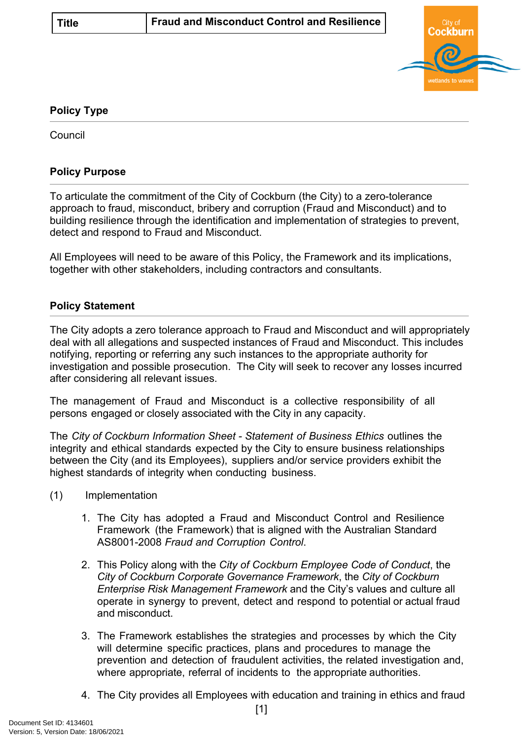

# **Policy Type**

**Council** 

## **Policy Purpose**

To articulate the commitment of the City of Cockburn (the City) to a zero-tolerance approach to fraud, misconduct, bribery and corruption (Fraud and Misconduct) and to building resilience through the identification and implementation of strategies to prevent, detect and respond to Fraud and Misconduct.

All Employees will need to be aware of this Policy, the Framework and its implications, together with other stakeholders, including contractors and consultants.

#### **Policy Statement**

The City adopts a zero tolerance approach to Fraud and Misconduct and will appropriately deal with all allegations and suspected instances of Fraud and Misconduct. This includes notifying, reporting or referring any such instances to the appropriate authority for investigation and possible prosecution. The City will seek to recover any losses incurred after considering all relevant issues.

The management of Fraud and Misconduct is a collective responsibility of all persons engaged or closely associated with the City in any capacity.

The *City of Cockburn Information Sheet - Statement of Business Ethics* outlines the integrity and ethical standards expected by the City to ensure business relationships between the City (and its Employees), suppliers and/or service providers exhibit the highest standards of integrity when conducting business.

- (1) Implementation
	- 1. The City has adopted a Fraud and Misconduct Control and Resilience Framework (the Framework) that is aligned with the Australian Standard AS8001-2008 *Fraud and Corruption Control*.
	- 2. This Policy along with the *City of Cockburn Employee Code of Conduct*, the *City of Cockburn Corporate Governance Framework*, the *City of Cockburn Enterprise Risk Management Framework* and the City's values and culture all operate in synergy to prevent, detect and respond to potential or actual fraud and misconduct.
	- 3. The Framework establishes the strategies and processes by which the City will determine specific practices, plans and procedures to manage the prevention and detection of fraudulent activities, the related investigation and, where appropriate, referral of incidents to the appropriate authorities.
	- 4. The City provides all Employees with education and training in ethics and fraud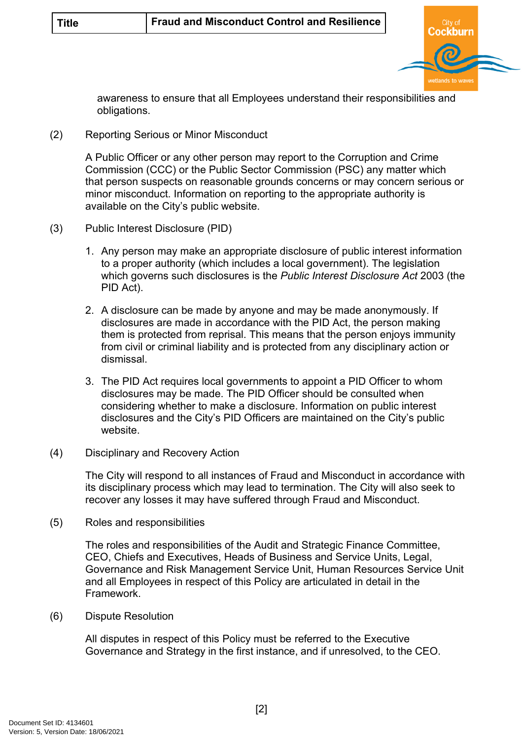

awareness to ensure that all Employees understand their responsibilities and obligations.

(2) Reporting Serious or Minor Misconduct

A Public Officer or any other person may report to the Corruption and Crime Commission (CCC) or the Public Sector Commission (PSC) any matter which that person suspects on reasonable grounds concerns or may concern serious or minor misconduct. Information on reporting to the appropriate authority is available on the City's public website.

- (3) Public Interest Disclosure (PID)
	- 1. Any person may make an appropriate disclosure of public interest information to a proper authority (which includes a local government). The legislation which governs such disclosures is the *Public Interest Disclosure Act* 2003 (the PID Act).
	- 2. A disclosure can be made by anyone and may be made anonymously. If disclosures are made in accordance with the PID Act, the person making them is protected from reprisal. This means that the person enjoys immunity from civil or criminal liability and is protected from any disciplinary action or dismissal.
	- 3. The PID Act requires local governments to appoint a PID Officer to whom disclosures may be made. The PID Officer should be consulted when considering whether to make a disclosure. Information on public interest disclosures and the City's PID Officers are maintained on the City's public website.
- (4) Disciplinary and Recovery Action

The City will respond to all instances of Fraud and Misconduct in accordance with its disciplinary process which may lead to termination. The City will also seek to recover any losses it may have suffered through Fraud and Misconduct.

(5) Roles and responsibilities

The roles and responsibilities of the Audit and Strategic Finance Committee, CEO, Chiefs and Executives, Heads of Business and Service Units, Legal, Governance and Risk Management Service Unit, Human Resources Service Unit and all Employees in respect of this Policy are articulated in detail in the Framework.

(6) Dispute Resolution

All disputes in respect of this Policy must be referred to the Executive Governance and Strategy in the first instance, and if unresolved, to the CEO.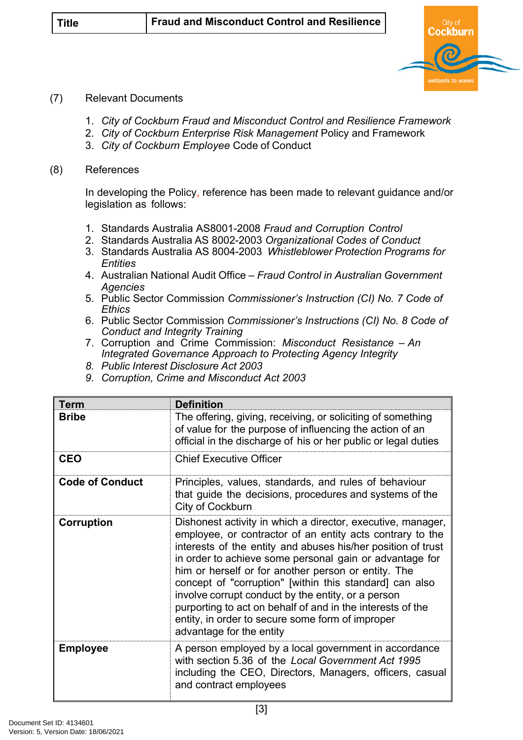

### (7) Relevant Documents

- 1. *City of Cockburn Fraud and Misconduct Control and Resilience Framework*
- 2. *City of Cockburn Enterprise Risk Management* Policy and Framework
- 3. *City of Cockburn Employee* Code of Conduct

#### (8) References

In developing the Policy, reference has been made to relevant guidance and/or legislation as follows:

- 1. Standards Australia AS8001-2008 *Fraud and Corruption Control*
- 2. Standards Australia AS 8002-2003 *Organizational Codes of Conduct*
- 3. Standards Australia AS 8004-2003 *Whistleblower Protection Programs for Entities*
- 4. Australian National Audit Office *Fraud Control in Australian Government Agencies*
- 5. Public Sector Commission *Commissioner's Instruction (CI) No. 7 Code of Ethics*
- 6. Public Sector Commission *Commissioner's Instructions (CI) No. 8 Code of Conduct and Integrity Training*
- 7. Corruption and Crime Commission: *Misconduct Resistance An Integrated Governance Approach to Protecting Agency Integrity*
- *8. Public Interest Disclosure Act 2003*
- *9. Corruption, Crime and Misconduct Act 2003*

| <b>Term</b>            | <b>Definition</b>                                                                                                                                                                                                                                                                                                                                                                                                                                                                                                                                                         |
|------------------------|---------------------------------------------------------------------------------------------------------------------------------------------------------------------------------------------------------------------------------------------------------------------------------------------------------------------------------------------------------------------------------------------------------------------------------------------------------------------------------------------------------------------------------------------------------------------------|
| <b>Bribe</b>           | The offering, giving, receiving, or soliciting of something<br>of value for the purpose of influencing the action of an<br>official in the discharge of his or her public or legal duties                                                                                                                                                                                                                                                                                                                                                                                 |
| <b>CEO</b>             | <b>Chief Executive Officer</b>                                                                                                                                                                                                                                                                                                                                                                                                                                                                                                                                            |
| <b>Code of Conduct</b> | Principles, values, standards, and rules of behaviour<br>that guide the decisions, procedures and systems of the<br>City of Cockburn                                                                                                                                                                                                                                                                                                                                                                                                                                      |
| Corruption             | Dishonest activity in which a director, executive, manager,<br>employee, or contractor of an entity acts contrary to the<br>interests of the entity and abuses his/her position of trust<br>in order to achieve some personal gain or advantage for<br>him or herself or for another person or entity. The<br>concept of "corruption" [within this standard] can also<br>involve corrupt conduct by the entity, or a person<br>purporting to act on behalf of and in the interests of the<br>entity, in order to secure some form of improper<br>advantage for the entity |
| <b>Employee</b>        | A person employed by a local government in accordance<br>with section 5.36 of the Local Government Act 1995<br>including the CEO, Directors, Managers, officers, casual<br>and contract employees                                                                                                                                                                                                                                                                                                                                                                         |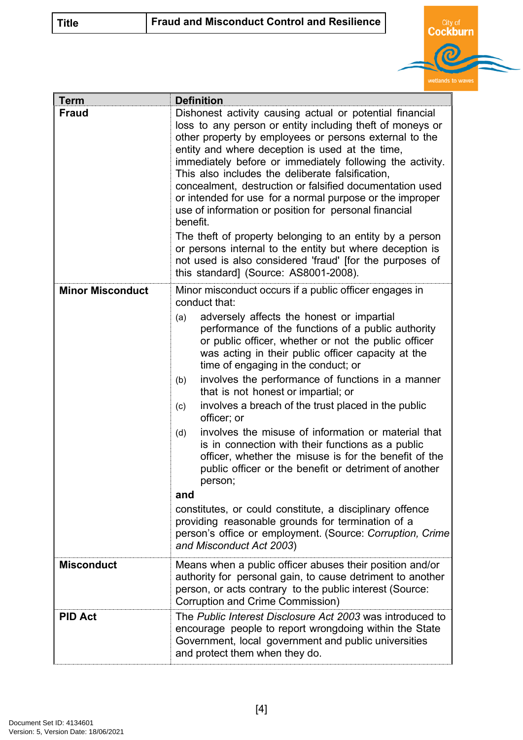| <b>Title</b> | <b>Fraud and Misconduct Control and Resilience</b> |  |  |
|--------------|----------------------------------------------------|--|--|
|--------------|----------------------------------------------------|--|--|



| <b>Term</b>             | <b>Definition</b>                                                                                                                                                                                                                                                                                                                                                                                                                                                                                                                                                                                                                                                                                                                                                                                                                                                                                            |
|-------------------------|--------------------------------------------------------------------------------------------------------------------------------------------------------------------------------------------------------------------------------------------------------------------------------------------------------------------------------------------------------------------------------------------------------------------------------------------------------------------------------------------------------------------------------------------------------------------------------------------------------------------------------------------------------------------------------------------------------------------------------------------------------------------------------------------------------------------------------------------------------------------------------------------------------------|
| <b>Fraud</b>            | Dishonest activity causing actual or potential financial<br>loss to any person or entity including theft of moneys or<br>other property by employees or persons external to the<br>entity and where deception is used at the time,<br>immediately before or immediately following the activity.<br>This also includes the deliberate falsification,<br>concealment, destruction or falsified documentation used<br>or intended for use for a normal purpose or the improper<br>use of information or position for personal financial<br>benefit.<br>The theft of property belonging to an entity by a person<br>or persons internal to the entity but where deception is<br>not used is also considered 'fraud' [for the purposes of<br>this standard] (Source: AS8001-2008).                                                                                                                                |
| <b>Minor Misconduct</b> | Minor misconduct occurs if a public officer engages in<br>conduct that:                                                                                                                                                                                                                                                                                                                                                                                                                                                                                                                                                                                                                                                                                                                                                                                                                                      |
|                         | adversely affects the honest or impartial<br>(a)<br>performance of the functions of a public authority<br>or public officer, whether or not the public officer<br>was acting in their public officer capacity at the<br>time of engaging in the conduct; or<br>involves the performance of functions in a manner<br>(b)<br>that is not honest or impartial; or<br>involves a breach of the trust placed in the public<br>(c)<br>officer; or<br>involves the misuse of information or material that<br>(d)<br>is in connection with their functions as a public<br>officer, whether the misuse is for the benefit of the<br>public officer or the benefit or detriment of another<br>person;<br>and<br>constitutes, or could constitute, a disciplinary offence<br>providing reasonable grounds for termination of a<br>person's office or employment. (Source: Corruption, Crime<br>and Misconduct Act 2003) |
| <b>Misconduct</b>       | Means when a public officer abuses their position and/or<br>authority for personal gain, to cause detriment to another<br>person, or acts contrary to the public interest (Source:<br>Corruption and Crime Commission)                                                                                                                                                                                                                                                                                                                                                                                                                                                                                                                                                                                                                                                                                       |
| <b>PID Act</b>          | The Public Interest Disclosure Act 2003 was introduced to<br>encourage people to report wrongdoing within the State<br>Government, local government and public universities<br>and protect them when they do.                                                                                                                                                                                                                                                                                                                                                                                                                                                                                                                                                                                                                                                                                                |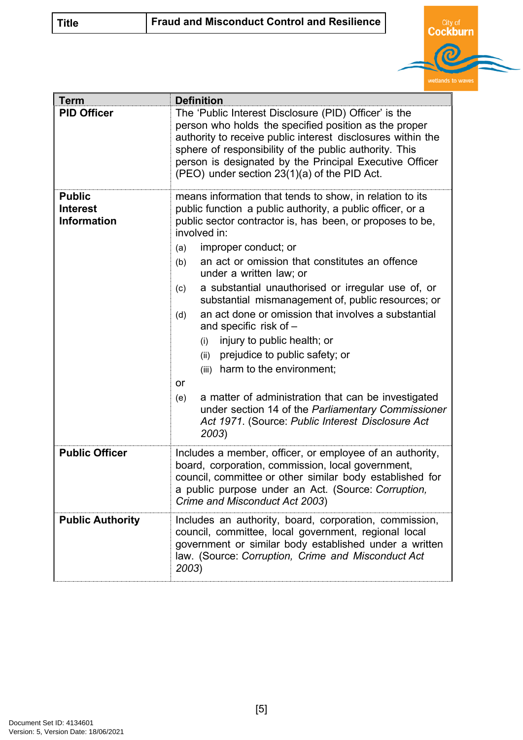| <b>Title</b> | Fraud and Misconduct Control and Resilience |  |  |
|--------------|---------------------------------------------|--|--|
|--------------|---------------------------------------------|--|--|



| <b>Term</b>                                            | <b>Definition</b>                                                                                                                                                                                                                                                                                                                                                                                                                                                                                                                                                                                                                                                                                                                                                                                                                           |
|--------------------------------------------------------|---------------------------------------------------------------------------------------------------------------------------------------------------------------------------------------------------------------------------------------------------------------------------------------------------------------------------------------------------------------------------------------------------------------------------------------------------------------------------------------------------------------------------------------------------------------------------------------------------------------------------------------------------------------------------------------------------------------------------------------------------------------------------------------------------------------------------------------------|
| <b>PID Officer</b>                                     | The 'Public Interest Disclosure (PID) Officer' is the<br>person who holds the specified position as the proper<br>authority to receive public interest disclosures within the<br>sphere of responsibility of the public authority. This<br>person is designated by the Principal Executive Officer<br>(PEO) under section 23(1)(a) of the PID Act.                                                                                                                                                                                                                                                                                                                                                                                                                                                                                          |
| <b>Public</b><br><b>Interest</b><br><b>Information</b> | means information that tends to show, in relation to its<br>public function a public authority, a public officer, or a<br>public sector contractor is, has been, or proposes to be,<br>involved in:<br>improper conduct; or<br>(a)<br>an act or omission that constitutes an offence<br>(b)<br>under a written law; or<br>a substantial unauthorised or irregular use of, or<br>(c)<br>substantial mismanagement of, public resources; or<br>an act done or omission that involves a substantial<br>(d)<br>and specific risk of -<br>injury to public health; or<br>(i)<br>prejudice to public safety; or<br>(ii)<br>(iii) harm to the environment;<br>or<br>a matter of administration that can be investigated<br>(e)<br>under section 14 of the Parliamentary Commissioner<br>Act 1971. (Source: Public Interest Disclosure Act<br>2003) |
| <b>Public Officer</b>                                  | Includes a member, officer, or employee of an authority,<br>board, corporation, commission, local government,<br>council, committee or other similar body established for<br>a public purpose under an Act. (Source: Corruption,<br>Crime and Misconduct Act 2003)                                                                                                                                                                                                                                                                                                                                                                                                                                                                                                                                                                          |
| <b>Public Authority</b>                                | Includes an authority, board, corporation, commission,<br>council, committee, local government, regional local<br>government or similar body established under a written<br>law. (Source: Corruption, Crime and Misconduct Act<br>2003)                                                                                                                                                                                                                                                                                                                                                                                                                                                                                                                                                                                                     |